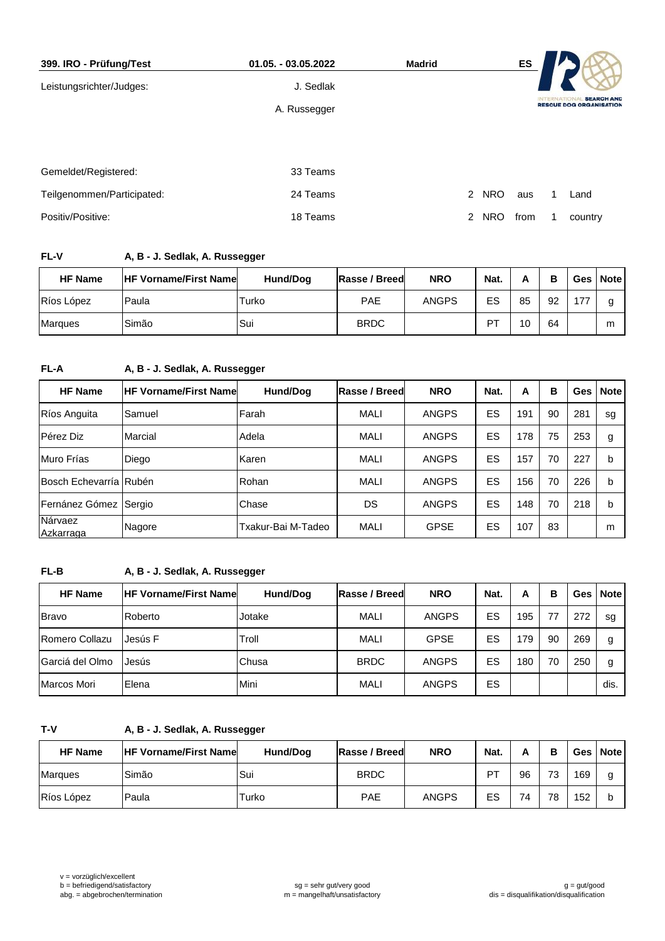| 399. IRO - Prüfung/Test    | 01.05. - 03.05.2022 | <b>Madrid</b> |                              | ES   |                                                                      |         |  |  |
|----------------------------|---------------------|---------------|------------------------------|------|----------------------------------------------------------------------|---------|--|--|
| Leistungsrichter/Judges:   | J. Sedlak           |               |                              |      |                                                                      |         |  |  |
|                            | A. Russegger        |               |                              |      | <b>SEARCH AND</b><br><b>NTERNA</b><br><b>RESCUE DOG ORGANISATION</b> |         |  |  |
|                            |                     |               |                              |      |                                                                      |         |  |  |
| Gemeldet/Registered:       | 33 Teams            |               |                              |      |                                                                      |         |  |  |
| Teilgenommen/Participated: | 24 Teams            |               | <b>NRO</b><br>$\overline{2}$ | aus  |                                                                      | Land    |  |  |
|                            |                     |               |                              |      |                                                                      |         |  |  |
| Positiv/Positive:          | 18 Teams            |               | 2<br><b>NRO</b>              | from |                                                                      | country |  |  |

# **FL-V A, B - J. Sedlak, A. Russegger**

| <b>HF Name</b> | <b>IHF Vorname/First Namel</b> | Hund/Dog | Rasse / Breed | <b>NRO</b>   | Nat. | А  | в  | Ges | <b>Note</b> |
|----------------|--------------------------------|----------|---------------|--------------|------|----|----|-----|-------------|
| Ríos López     | Paula                          | Turko    | <b>PAE</b>    | <b>ANGPS</b> | ES   | 85 | 92 | 77  | g           |
| <b>Marques</b> | Simão                          | Sui      | <b>BRDC</b>   |              | DТ   | 10 | 64 |     | m           |

# **FL-A A, B - J. Sedlak, A. Russegger**

| <b>HF Name</b>         | <b>IHF Vorname/First Namel</b> | Hund/Dog           | Rasse / Breed | <b>NRO</b>   | Nat. | A   | в  | Ges | <b>Note</b> |
|------------------------|--------------------------------|--------------------|---------------|--------------|------|-----|----|-----|-------------|
| Ríos Anguita           | Samuel                         | l Farah            | <b>MALI</b>   | <b>ANGPS</b> | ES   | 191 | 90 | 281 | sg          |
| Pérez Diz              | Marcial                        | Adela              | <b>MALI</b>   | <b>ANGPS</b> | ES   | 178 | 75 | 253 | g           |
| Muro Frías             | Diego                          | Karen              | <b>MALI</b>   | <b>ANGPS</b> | ES   | 157 | 70 | 227 | b           |
| Bosch Echevarría Rubén |                                | Rohan              | <b>MALI</b>   | <b>ANGPS</b> | ES   | 156 | 70 | 226 | b           |
| Fernánez Gómez Sergio  |                                | Chase              | DS            | <b>ANGPS</b> | ES   | 148 | 70 | 218 | b           |
| Nárvaez<br>Azkarraga   | Nagore                         | Txakur-Bai M-Tadeo | <b>MALI</b>   | <b>GPSE</b>  | ES   | 107 | 83 |     | m           |

# **FL-B A, B - J. Sedlak, A. Russegger**

| <b>HF Name</b>   | <b>HF Vorname/First Namel</b> | Hund/Dog | Rasse / Breed | <b>NRO</b>   | Nat. | А   | в  | Ges I | <b>Note</b> |
|------------------|-------------------------------|----------|---------------|--------------|------|-----|----|-------|-------------|
| <b>Bravo</b>     | Roberto                       | Jotake   | <b>MALI</b>   | <b>ANGPS</b> | ES   | 195 | 77 | 272   | sg          |
| Romero Collazu   | Jesús F                       | Troll    | <b>MALI</b>   | <b>GPSE</b>  | ES   | 79  | 90 | 269   | g           |
| lGarciá del Olmo | Jesús                         | Chusa    | <b>BRDC</b>   | <b>ANGPS</b> | ES   | 180 | 70 | 250   | g           |
| Marcos Mori      | Elena                         | Mini     | <b>MALI</b>   | <b>ANGPS</b> | ES   |     |    |       | dis.        |

### **T-V A, B - J. Sedlak, A. Russegger**

| <b>HF Name</b> | <b>IHF Vorname/First Name</b> | Hund/Dog | Rasse / Breed | <b>NRO</b>   | Nat. |    | в  |     | Ges Note |
|----------------|-------------------------------|----------|---------------|--------------|------|----|----|-----|----------|
| <b>Marques</b> | Simão                         | Sui      | <b>BRDC</b>   |              | PT   | 96 | 73 | 169 | g        |
| Ríos López     | Paula                         | Turko    | <b>PAE</b>    | <b>ANGPS</b> | ES   | 74 | 78 | 152 |          |